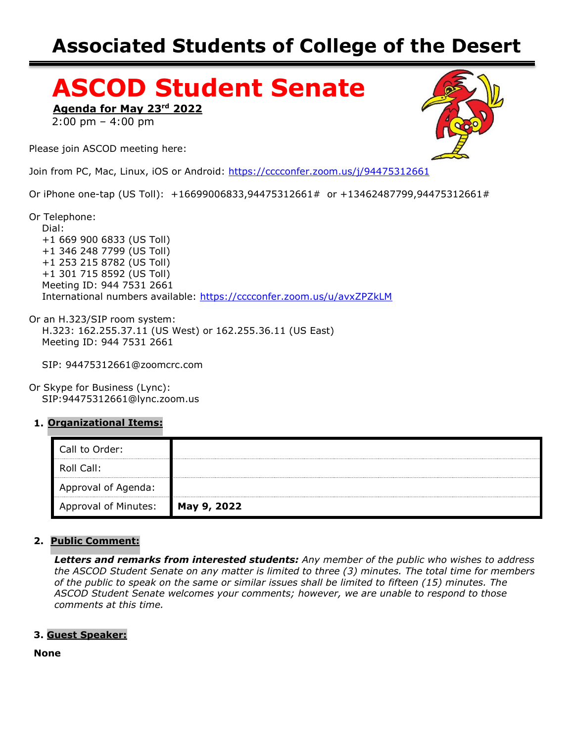# **Associated Students of College of the Desert**

# **ASCOD Student Senate**

**Agenda for May 23rd 2022**

2:00 pm – 4:00 pm

Please join ASCOD meeting here:

Join from PC, Mac, Linux, iOS or Android: <https://cccconfer.zoom.us/j/94475312661>

Or iPhone one-tap (US Toll): +16699006833,94475312661# or +13462487799,94475312661#

Or Telephone:

 Dial: +1 669 900 6833 (US Toll) +1 346 248 7799 (US Toll) +1 253 215 8782 (US Toll) +1 301 715 8592 (US Toll) Meeting ID: 944 7531 2661 International numbers available: <https://cccconfer.zoom.us/u/avxZPZkLM>

Or an H.323/SIP room system: H.323: 162.255.37.11 (US West) or 162.255.36.11 (US East) Meeting ID: 944 7531 2661

SIP: 94475312661@zoomcrc.com

Or Skype for Business (Lync): SIP:94475312661@lync.zoom.us

#### **1. Organizational Items:**

| Call to Order:              |             |
|-----------------------------|-------------|
| Roll Call:                  |             |
| Approval of Agenda:         |             |
| <b>Approval of Minutes:</b> | May 9, 2022 |

#### **2. Public Comment:**

*Letters and remarks from interested students: Any member of the public who wishes to address the ASCOD Student Senate on any matter is limited to three (3) minutes. The total time for members of the public to speak on the same or similar issues shall be limited to fifteen (15) minutes. The ASCOD Student Senate welcomes your comments; however, we are unable to respond to those comments at this time.*

#### **3. Guest Speaker:**

**None**

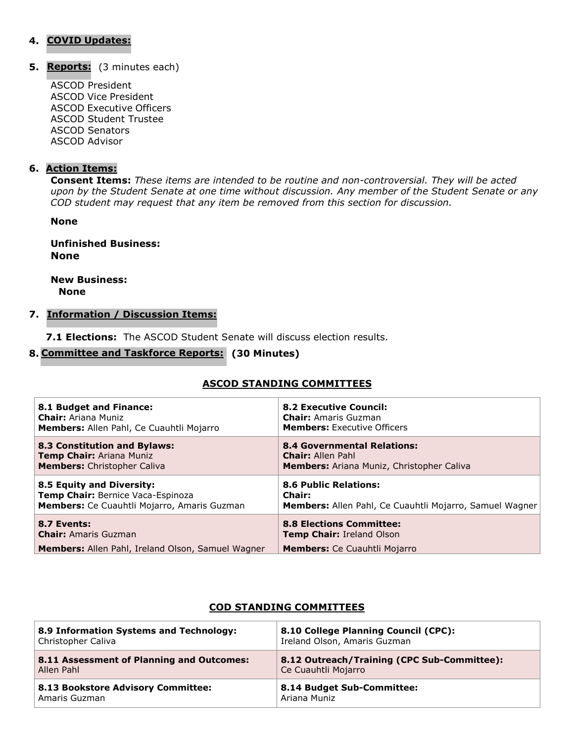#### **4. COVID Updates:**

**Reports: 5.**(3 minutes each)

ASCOD President ASCOD Vice President ASCOD Executive Officers ASCOD Student Trustee ASCOD Senators ASCOD Advisor

#### **6. Action Items:**

**Consent Items:** *These items are intended to be routine and non-controversial. They will be acted upon by the Student Senate at one time without discussion. Any member of the Student Senate or any COD student may request that any item be removed from this section for discussion.*

**None**

**Unfinished Business: None**

**New Business: None**

#### **7. Information / Discussion Items:**

**7.1 Elections:** The ASCOD Student Senate will discuss election results.

#### **Committee and Taskforce Reports: 8. (30 Minutes)**

#### **ASCOD STANDING COMMITTEES**

| 8.1 Budget and Finance:                                  | <b>8.2 Executive Council:</b>                           |
|----------------------------------------------------------|---------------------------------------------------------|
| <b>Chair:</b> Ariana Muniz                               | <b>Chair:</b> Amaris Guzman                             |
| Members: Allen Pahl, Ce Cuauhtli Mojarro                 | <b>Members:</b> Executive Officers                      |
| <b>8.3 Constitution and Bylaws:</b>                      | <b>8.4 Governmental Relations:</b>                      |
| Temp Chair: Ariana Muniz                                 | <b>Chair: Allen Pahl</b>                                |
| <b>Members:</b> Christopher Caliva                       | <b>Members:</b> Ariana Muniz, Christopher Caliva        |
| 8.5 Equity and Diversity:                                | <b>8.6 Public Relations:</b>                            |
| Temp Chair: Bernice Vaca-Espinoza                        | <b>Chair:</b>                                           |
| Members: Ce Cuauhtli Mojarro, Amaris Guzman              | Members: Allen Pahl, Ce Cuauhtli Mojarro, Samuel Wagner |
| 8.7 Events:                                              | <b>8.8 Elections Committee:</b>                         |
| <b>Chair:</b> Amaris Guzman                              | <b>Temp Chair: Ireland Olson</b>                        |
| <b>Members:</b> Allen Pahl, Ireland Olson, Samuel Wagner | <b>Members:</b> Ce Cuauhtli Mojarro                     |

#### **COD STANDING COMMITTEES**

| 8.9 Information Systems and Technology:   | 8.10 College Planning Council (CPC):        |
|-------------------------------------------|---------------------------------------------|
| Christopher Caliva                        | Ireland Olson, Amaris Guzman                |
| 8.11 Assessment of Planning and Outcomes: | 8.12 Outreach/Training (CPC Sub-Committee): |
| Allen Pahl                                | Ce Cuauhtli Mojarro                         |
| 8.13 Bookstore Advisory Committee:        | 8.14 Budget Sub-Committee:                  |
| Amaris Guzman                             | Ariana Muniz                                |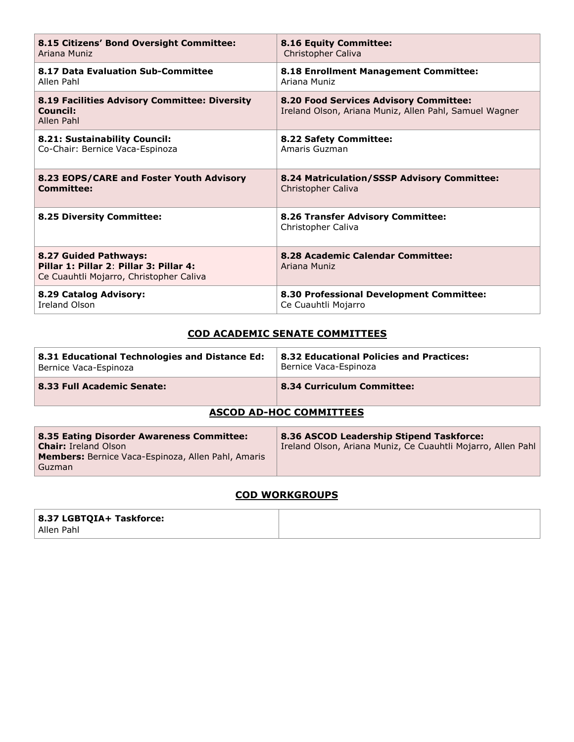| 8.15 Citizens' Bond Oversight Committee:                                                                    | 8.16 Equity Committee:                                                                                  |
|-------------------------------------------------------------------------------------------------------------|---------------------------------------------------------------------------------------------------------|
| Ariana Muniz                                                                                                | Christopher Caliva                                                                                      |
| 8.17 Data Evaluation Sub-Committee                                                                          | 8.18 Enrollment Management Committee:                                                                   |
| Allen Pahl                                                                                                  | Ariana Muniz                                                                                            |
| 8.19 Facilities Advisory Committee: Diversity<br>Council:<br>Allen Pahl                                     | <b>8.20 Food Services Advisory Committee:</b><br>Ireland Olson, Ariana Muniz, Allen Pahl, Samuel Wagner |
| 8.21: Sustainability Council:                                                                               | 8.22 Safety Committee:                                                                                  |
| Co-Chair: Bernice Vaca-Espinoza                                                                             | Amaris Guzman                                                                                           |
| 8.23 EOPS/CARE and Foster Youth Advisory                                                                    | 8.24 Matriculation/SSSP Advisory Committee:                                                             |
| <b>Committee:</b>                                                                                           | Christopher Caliva                                                                                      |
| 8.25 Diversity Committee:                                                                                   | 8.26 Transfer Advisory Committee:<br>Christopher Caliva                                                 |
| 8.27 Guided Pathways:<br>Pillar 1: Pillar 2: Pillar 3: Pillar 4:<br>Ce Cuauhtli Mojarro, Christopher Caliva | 8.28 Academic Calendar Committee:<br>Ariana Muniz                                                       |
| 8.29 Catalog Advisory:                                                                                      | 8.30 Professional Development Committee:                                                                |
| <b>Treland Olson</b>                                                                                        | Ce Cuauhtli Mojarro                                                                                     |

#### **COD ACADEMIC SENATE COMMITTEES**

| 8.31 Educational Technologies and Distance Ed: | <b>8.32 Educational Policies and Practices:</b> |
|------------------------------------------------|-------------------------------------------------|
| Bernice Vaca-Espinoza                          | Bernice Vaca-Espinoza                           |
| 8.33 Full Academic Senate:                     | 8.34 Curriculum Committee:                      |

## **ASCOD AD-HOC COMMITTEES**

#### **COD WORKGROUPS**

| 8.37 LGBTQIA+ Taskforce: |  |
|--------------------------|--|
| Allen Pahl               |  |